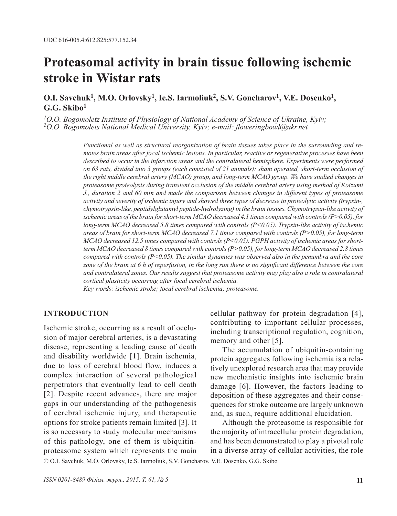# **Proteasomal activity in brain tissue following ischemic stroke in Wistar rats**

# **O.I. Savchuk<sup>1</sup>, M.O. Orlovsky<sup>1</sup>, Ie.S. Iarmoliuk<sup>2</sup>, S.V. Goncharov<sup>1</sup>, V.E. Dosenko<sup>1</sup>, G.G. Skibo<sup>1</sup>**

*1О.О. Bogomoletz Institute of Physiology of National Academy of Science of Ukraine, Kyiv; 2О.О. Bogomolets National Medical University, Kyiv; e-mail: floweringbowl@ukr.net*

*Functional as well as structural reorganization of brain tissues takes place in the surrounding and remotes brain areas after focal ischemic lesions. In particular, reactive or regenerative processes have been described to occur in the infarction areas and the contralateral hemisphere. Experiments were performed on 63 rats, divided into 3 groups (each consisted of 21 animals): sham operated, short-term occlusion of the right middle cerebral artery (MCAO) group, and long-term MCAO group. We have studied changes in proteasome proteolysis during transient occlusion of the middle cerebral artery using method of Koizumi J., duration 2 and 60 min and made the comparison between changes in different types of proteasome activity and severity of ischemic injury and showed three types of decrease in proteolytic activity (trypsin-, chymotrypsin-like, peptidylglutamyl peptide-hydrolyzing) in the brain tissues. Chymotrypsin-like activity of ischemic areas of the brain for short-term MCAO decreased 4.1 times compared with controls (P>0.05), for long-term MCAO decreased 5.8 times compared with controls (P<0.05). Trypsin-like activity of ischemic areas of brain for short-term MCAO decreased 7.1 times compared with controls (P>0.05), for long-term MCAO decreased 12.5 times compared with controls (P<0.05). PGPH activity of ischemic areas for shortterm MCAO decreased 8 times compared with controls (P>0.05), for long-term MCAO decreased 2.8 times compared with controls (P<0.05). The similar dynamics was observed also in the penumbra and the core zone of the brain at 6 h of reperfusion, in the long run there is no significant difference between the core and contralateral zones. Our results suggest that proteasome activity may play also a role in contralateral cortical plasticity occurring after focal cerebral ischemia.* 

*Key words: ischemic stroke; focal cerebral ischemia; proteasome.*

#### **INTRODUCTION**

Ischemic stroke, occurring as a result of occlusion of major cerebral arteries, is a devastating disease, representing a leading cause of death and disability worldwide [1]. Brain ischemia, due to loss of cerebral blood flow, induces a complex interaction of several pathological perpetrators that eventually lead to cell death [2]. Despite recent advances, there are major gaps in our understanding of the pathogenesis of cerebral ischemic injury, and therapeutic options for stroke patients remain limited [3]. It is so necessary to study molecular mechanisms of this pathology, one of them is ubiquitinproteasome system which represents the main cellular pathway for protein degradation [4], contributing to important cellular processes, including transcriptional regulation, cognition, memory and other [5].

The accumulation of ubiquitin-containing protein aggregates following ischemia is a relatively unexplored research area that may provide new mechanistic insights into ischemic brain damage [6]. However, the factors leading to deposition of these aggregates and their consequences for stroke outcome are largely unknown and, as such, require additional elucidation.

Although the proteasome is responsible for the majority of intracellular protein degradation, and has been demonstrated to play a pivotal role in a diverse array of cellular activities, the role

© O.I. Savchuk, M.O. Orlovsky, Ie.S. Iarmoliuk, S.V. Goncharov, V.E. Dosenko, G.G. Skibo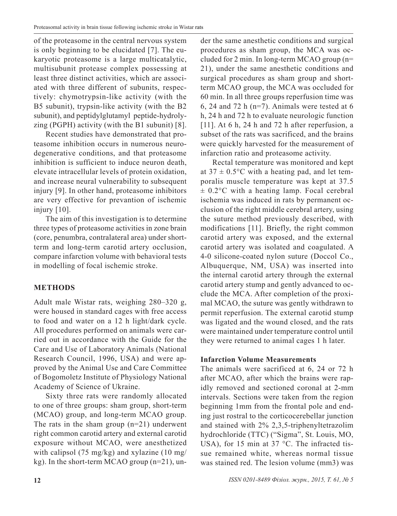of the proteasome in the central nervous system is only beginning to be elucidated [7]. The eukaryotic proteasome is a large multicatalytic, multisubunit protease complex possessing at least three distinct activities, which are associated with three different of subunits, respectively: chymotrypsin-like activity (with the B5 subunit), trypsin-like activity (with the B2 subunit), and peptidylglutamyl peptide-hydrolyzing (PGPH) activity (with the B1 subunit) [8].

Recent studies have demonstrated that proteasome inhibition occurs in numerous neurodegenerative conditions, and that proteasome inhibition is sufficient to induce neuron death, elevate intracellular levels of protein oxidation, and increase neural vulnerability to subsequent injury [9]. In other hand, proteasome inhibitors are very effective for prevantion of ischemic injury [10].

The aim of this investigation is to determine three types of proteasome activities in zone brain (core, penumbra, contralateral area) under shortterm and long-term carotid artery occlusion, compare infarction volume with behavioral tests in modelling of focal ischemic stroke.

### **METHODS**

Adult male Wistar rats, weighing 280–320 g, were housed in standard cages with free access to food and water on a 12 h light/dark cycle. All procedures performed on animals were carried out in accordance with the Guide for the Care and Use of Laboratory Animals (National Research Council, 1996, USA) and were approved by the Animal Use and Care Committee of Bogomoletz Institute of Physiology National Academy of Science of Ukraine.

Sixty three rats were randomly allocated to one of three groups: sham group, short-term (MCAO) group, and long-term MCAO group. The rats in the sham group  $(n=21)$  underwent right common carotid artery and external carotid exposure without MCAO, were anesthetized with calipsol (75 mg/kg) and xylazine (10 mg/ kg). In the short-term MCAO group (n=21), under the same anesthetic conditions and surgical procedures as sham group, the MCA was occluded for 2 min. In long-term MCAO group (n= 21), under the same anesthetic conditions and surgical procedures as sham group and shortterm MCAO group, the MCA was occluded for 60 min. In all three groups reperfusion time was 6, 24 and 72 h ( $n=7$ ). Animals were tested at 6 h, 24 h and 72 h to evaluate neurologic function [11]. At 6 h, 24 h and 72 h after reperfusion, a subset of the rats was sacrificed, and the brains were quickly harvested for the measurement of infarction ratio and proteasome activity.

Rectal temperature was monitored and kept at  $37 \pm 0.5$ °C with a heating pad, and let temporalis muscle temperature was kept at 37.5  $\pm$  0.2°C with a heating lamp. Focal cerebral ischemia was induced in rats by permanent occlusion of the right middle cerebral artery, using the suture method previously described, with modifications [11]. Briefly, the right common carotid artery was exposed, and the external carotid artery was isolated and coagulated. A 4-0 silicone-coated nylon suture (Doccol Co., Albuquerque, NM, USA) was inserted into the internal carotid artery through the external carotid artery stump and gently advanced to occlude the MCA. After completion of the proximal MCAO, the suture was gently withdrawn to permit reperfusion. The external carotid stump was ligated and the wound closed, and the rats were maintained under temperature control until they were returned to animal cages 1 h later.

### **Infarction Volume Measurements**

The animals were sacrificed at 6, 24 or 72 h after MCAO, after which the brains were rapidly removed and sectioned coronal at 2-mm intervals. Sections were taken from the region beginning 1mm from the frontal pole and ending just rostral to the corticocerebellar junction and stained with 2% 2,3,5-triphenyltetrazolim hydrochloride (TTC) ("Sigma", St. Louis, MO, USA), for 15 min at 37 °C. The infracted tissue remained white, whereas normal tissue was stained red. The lesion volume (mm3) was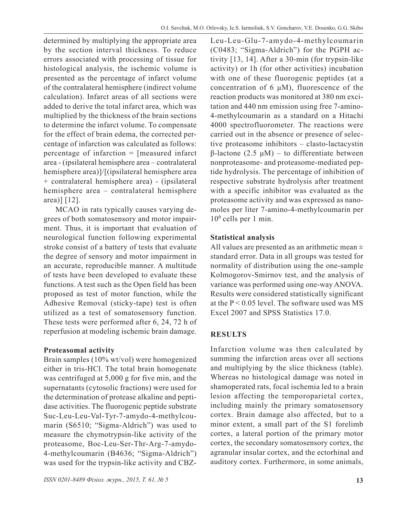determined by multiplying the appropriate area by the section interval thickness. To reduce errors associated with processing of tissue for histological analysis, the ischemic volume is presented as the percentage of infarct volume of the contralateral hemisphere (indirect volume calculation). Infarct areas of all sections were added to derive the total infarct area, which was multiplied by the thickness of the brain sections to determine the infarct volume. To compensate for the effect of brain edema, the corrected percentage of infarction was calculated as follows: percentage of infarction = [measured infarct area - (ipsilateral hemisphere area – contralateral hemisphere area)]/[(ipsilateral hemisphere area + contralateral hemisphere area) - (ipsilateral hemisphere area – contralateral hemisphere area)] [12].

MCAO in rats typically causes varying degrees of both somatosensory and motor impairment. Thus, it is important that evaluation of neurological function following experimental stroke consist of a battery of tests that evaluate the degree of sensory and motor impairment in an accurate, reproducible manner. A multitude of tests have been developed to evaluate these functions. A test such as the Open field has been proposed as test of motor function, while the Adhesive Removal (sticky-tape) test is often utilized as a test of somatosensory function. These tests were performed after 6, 24, 72 h of reperfusion at modeling ischemic brain damage.

### **Proteasomal activity**

Brain samples (10% wt/vol) were homogenized either in tris-HCl. The total brain homogenate was centrifuged at 5,000 g for five min, and the supernatants (cytosolic fractions) were used for the determination of protease alkaline and peptidase activities. The fluorogenic peptide substrate Suc-Leu-Leu-Val-Tyr-7-amydo-4-methylcoumarin (S6510; "Sigma-Aldrich") was used to measure the chymotrypsin-like activity of the proteasome, Boc-Leu-Ser-Thr-Arg-7-amydo-4-methylcoumarin (B4636; "Sigma-Aldrich") was used for the trypsin-like activity and CBZ- Leu-Leu-Glu-7-amydo-4-methylcoumarin (C0483; "Sigma-Aldrich") for the PGPH activity [13, 14]. After a 30-min (for trypsin-like activity) or 1h (for other activities) incubation with one of these fluorogenic peptides (at a concentration of 6  $\mu$ M), fluorescence of the reaction products was monitored at 380 nm excitation and 440 nm emission using free 7-amino-4-methylcoumarin as a standard on a Hitachi 4000 spectrofluorometer. The reactions were carried out in the absence or presence of selective proteasome inhibitors – clasto-lactacystin β-lactone (2.5 μM) – to differentiate between nonproteasome- and proteasome-mediated peptide hydrolysis. The percentage of inhibition of respective substrate hydrolysis after treatment with a specific inhibitor was evaluated as the proteasome activity and was expressed as nanomoles per liter 7-amino-4-methylcoumarin per  $10<sup>6</sup>$  cells per 1 min.

# **Statistical analysis**

All values are presented as an arithmetic mean  $\pm$ standard error. Data in all groups was tested for normality of distribution using the one-sample Kolmogorov-Smirnov test, and the analysis of variance was performed using one-way ANOVA. Results were considered statistically significant at the  $P < 0.05$  level. The software used was MS Excel 2007 and SPSS Statistics 17.0.

# **RESULTS**

Infarction volume was then calculated by summing the infarction areas over all sections and multiplying by the slice thickness (table). Whereas no histological damage was noted in shamoperated rats, focal ischemia led to a brain lesion affecting the temporoparietal cortex, including mainly the primary somatosensory cortex. Brain damage also affected, but to a minor extent, a small part of the S1 forelimb cortex, a lateral portion of the primary motor cortex, the secondary somatosensory cortex, the agranular insular cortex, and the ectorhinal and auditory cortex. Furthermore, in some animals,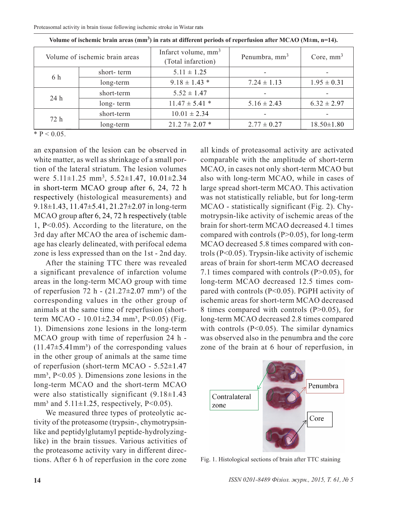| Volume of ischemic brain areas |            | Infarct volume, $mm3$<br>(Total infarction) | Penumbra, mm <sup>3</sup> | Core, $mm3$      |
|--------------------------------|------------|---------------------------------------------|---------------------------|------------------|
| 6 h                            | short-term | $5.11 \pm 1.25$                             |                           |                  |
|                                | long-term  | $9.18 \pm 1.43$ *                           | $7.24 \pm 1.13$           | $1.95 \pm 0.31$  |
| 24 h                           | short-term | $5.52 \pm 1.47$                             |                           |                  |
|                                | long-term  | $11.47 \pm 5.41$ *                          | $5.16 \pm 2.43$           | $6.32 \pm 2.97$  |
| 72 h                           | short-term | $10.01 \pm 2.34$                            |                           |                  |
|                                | long-term  | $21.27 \pm 2.07$ *                          | $2.77 \pm 0.27$           | $18.50 \pm 1.80$ |

**Volume of ischemic brain areas (mm<sup>3</sup>) in rats at different periods of reperfusion after MCAO (M±m, n=14).**

 $*$  P < 0.05.

an expansion of the lesion can be observed in white matter, as well as shrinkage of a small portion of the lateral striatum. The lesion volumes were 5.11±1.25 mm<sup>3</sup>, 5.52±1.47, 10.01±2.34 in short-term MCAO group after 6, 24, 72 h respectively (histological measurements) and 9.18±1.43, 11.47±5.41, 21.27±2.07 in long-term MCAO group after 6, 24, 72 h respectively (table 1, P<0.05). According to the literature, on the 3rd day after MCAO the area of ischemic damage has clearly delineated, with perifocal edema zone is less expressed than on the 1st - 2nd day.

After the staining TTC there was revealed a significant prevalence of infarction volume areas in the long-term MCAO group with time of reperfusion 72 h -  $(21.27\pm2.07$  mm<sup>3</sup>) of the corresponding values in the other group of animals at the same time of reperfusion (shortterm MCAO -  $10.01 \pm 2.34$  mm<sup>3</sup>, P<0.05) (Fig. 1). Dimensions zone lesions in the long-term MCAO group with time of reperfusion 24 h -  $(11.47\pm5.41$ mm<sup>3</sup>) of the corresponding values in the other group of animals at the same time of reperfusion (short-term MCAO - 5.52±1.47  $mm<sup>3</sup>$ ,  $P<0.05$ ). Dimensions zone lesions in the long-term MCAO and the short-term MCAO were also statistically significant  $(9.18\pm1.43)$ mm<sup>3</sup> and  $5.11\pm1.25$ , respectively, P<0.05).

We measured three types of proteolytic activity of the proteasome (trypsin-, chymotrypsinlike and peptidylglutamyl peptide-hydrolyzinglike) in the brain tissues. Various activities of the proteasome activity vary in different directions. After 6 h of reperfusion in the core zone all kinds of proteasomal activity are activated comparable with the amplitude of short-term MCAO, in cases not only short-term MCAO but also with long-term MCAO, while in cases of large spread short-term MCAO. This activation was not statistically reliable, but for long-term MCAO - statistically significant (Fig. 2). Chymotrypsin-like activity of ischemic areas of the brain for short-term MCAO decreased 4.1 times compared with controls  $(P>0.05)$ , for long-term MCAO decreased 5.8 times compared with controls (P<0.05). Trypsin-like activity of ischemic areas of brain for short-term MCAO decreased 7.1 times compared with controls (P>0.05), for long-term MCAO decreased 12.5 times compared with controls (P<0.05). PGPH activity of ischemic areas for short-term MCAO decreased 8 times compared with controls (P>0.05), for long-term MCAO decreased 2.8 times compared with controls (P<0.05). The similar dynamics was observed also in the penumbra and the core zone of the brain at 6 hour of reperfusion, in



Fig. 1. Histological sections of brain after TTC staining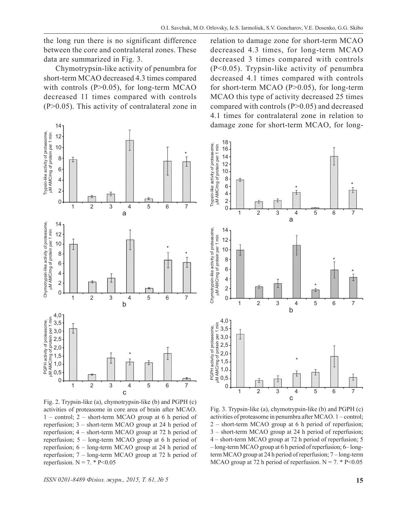the long run there is no significant difference between the core and contralateral zones. These data are summarized in Fig. 3.

Chymotrypsin-like activity of penumbra for short-term MCAO decreased 4.3 times compared with controls  $(P>0.05)$ , for long-term MCAO decreased 11 times compared with controls (P>0.05). This activity of contralateral zone in



Fig. 2. Trypsin-like (a), chymotrypsin-like (b) and PGPH (c) activities of proteasome in core area of brain after MCAO. 1 – control; 2 – short-term MCAO group at 6 h period of reperfusion; 3 – short-term MCAO group at 24 h period of reperfusion; 4 – short-term MCAO group at 72 h period of reperfusion; 5 – long-term MCAO group at 6 h period of reperfusion; 6 – long-term MCAO group at 24 h period of reperfusion; 7 – long-term MCAO group at 72 h period of reperfusion.  $N = 7$ . \* P<0.05

relation to damage zone for short-term MCAO decreased 4.3 times, for long-term MCAO decreased 3 times compared with controls (P<0.05). Trypsin-like activity of penumbra decreased 4.1 times compared with controls for short-term MCAO (P>0.05), for long-term MCAO this type of activity decreased 25 times compared with controls (P>0.05) and decreased 4.1 times for contralateral zone in relation to damage zone for short-term MCAO, for long-



Fig. 3. Trypsin-like (a), chymotrypsin-like (b) and PGPH (c) activities of proteasome in penumbra after MCAO. 1 – control; 2 – short-term MCAO group at 6 h period of reperfusion; 3 – short-term MCAO group at 24 h period of reperfusion; 4 – short-term MCAO group at 72 h period of reperfusion; 5 – long-term MCAO group at 6 h period of reperfusion; 6– longterm MCAO group at 24 h period of reperfusion; 7 – long-term MCAO group at 72 h period of reperfusion.  $N = 7$ . \* P<0.05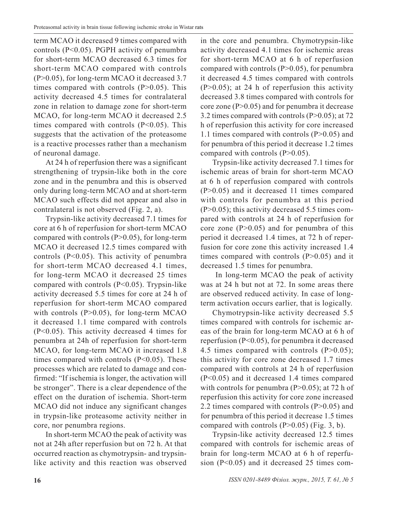term MCAO it decreased 9 times compared with controls (P<0.05). PGPH activity of penumbra for short-term MCAO decreased 6.3 times for short-term MCAO compared with controls (P>0.05), for long-term MCAO it decreased 3.7 times compared with controls  $(P>0.05)$ . This activity decreased 4.5 times for contralateral zone in relation to damage zone for short-term MCAO, for long-term MCAO it decreased 2.5 times compared with controls (P<0.05). This suggests that the activation of the proteasome is a reactive processes rather than a mechanism of neuronal damage.

At 24 h of reperfusion there was a significant strengthening of trypsin-like both in the core zone and in the penumbra and this is observed only during long-term MCAO and at short-term MCAO such effects did not appear and also in contralateral is not observed (Fig. 2, a).

Trypsin-like activity decreased 7.1 times for core at 6 h of reperfusion for short-term MCAO compared with controls  $(P>0.05)$ , for long-term MCAO it decreased 12.5 times compared with controls (P<0.05). This activity of penumbra for short-term MCAO decreased 4.1 times, for long-term MCAO it decreased 25 times compared with controls (P<0.05). Trypsin-like activity decreased 5.5 times for core at 24 h of reperfusion for short-term MCAO compared with controls (P>0.05), for long-term MCAO it decreased 1.1 time compared with controls (P<0.05). This activity decreased 4 times for penumbra at 24h of reperfusion for short-term MCAO, for long-term MCAO it increased 1.8 times compared with controls (P<0.05). These processes which are related to damage and confirmed: "If ischemia is longer, the activation will be stronger". There is a clear dependence of the effect on the duration of ischemia. Short-term MCAO did not induce any significant changes in trypsin-like proteasome activity neither in core, nor penumbra regions.

In short-term MCAO the peak of activity was not at 24h after reperfusion but on 72 h. At that occurred reaction as chymotrypsin- and trypsinlike activity and this reaction was observed

in the core and penumbra. Chymotrypsin-like activity decreased 4.1 times for ischemic areas for short-term MCAO at 6 h of reperfusion compared with controls  $(P>0.05)$ , for penumbra it decreased 4.5 times compared with controls  $(P>0.05)$ ; at 24 h of reperfusion this activity decreased 3.8 times compared with controls for core zone (P>0.05) and for penumbra it decrease 3.2 times compared with controls (P>0.05); at 72 h of reperfusion this activity for core increased 1.1 times compared with controls (P>0.05) and for penumbra of this period it decrease 1.2 times compared with controls (P>0.05).

Trypsin-like activity decreased 7.1 times for ischemic areas of brain for short-term MCAO at 6 h of reperfusion compared with controls (P>0.05) and it decreased 11 times compared with controls for penumbra at this period (P>0.05); this activity decreased 5.5 times compared with controls at 24 h of reperfusion for core zone  $(P>0.05)$  and for penumbra of this period it decreased 1.4 times, at 72 h of reperfusion for core zone this activity increased 1.4 times compared with controls  $(P>0.05)$  and it decreased 1.5 times for penumbra.

 In long-term MCAO the peak of activity was at 24 h but not at 72. In some areas there are observed reduced activity. In case of longterm activation occurs earlier, that is logically.

Chymotrypsin-like activity decreased 5.5 times compared with controls for ischemic areas of the brain for long-term MCAO at 6 h of reperfusion (P<0.05), for penumbra it decreased 4.5 times compared with controls  $(P>0.05)$ ; this activity for core zone decreased 1.7 times compared with controls at 24 h of reperfusion (P<0.05) and it decreased 1.4 times compared with controls for penumbra  $(P>0.05)$ ; at 72 h of reperfusion this activity for core zone increased 2.2 times compared with controls (P>0.05) and for penumbra of this period it decrease 1.5 times compared with controls  $(P>0.05)$  (Fig. 3, b).

Trypsin-like activity decreased 12.5 times compared with controls for ischemic areas of brain for long-term MCAO at 6 h of reperfusion (P<0.05) and it decreased 25 times com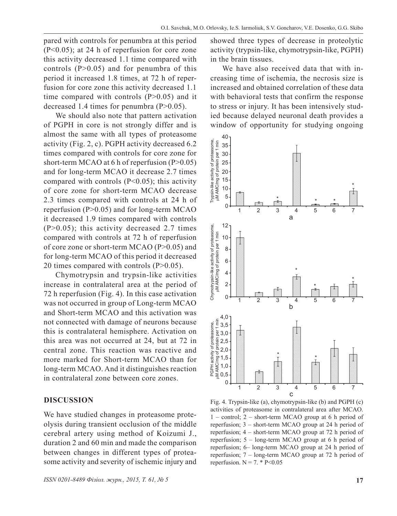pared with controls for penumbra at this period (P<0.05); at 24 h of reperfusion for core zone this activity decreased 1.1 time compared with controls  $(P>0.05)$  and for penumbra of this period it increased 1.8 times, at 72 h of reperfusion for core zone this activity decreased 1.1 time compared with controls  $(P>0.05)$  and it decreased 1.4 times for penumbra  $(P>0.05)$ .

We should also note that pattern activation of PGPH in core is not strongly differ and is almost the same with all types of proteasome activity (Fig. 2, c). PGPH activity decreased 6.2 times compared with controls for core zone for short-term MCAO at 6 h of reperfusion  $(P>0.05)$ and for long-term MCAO it decrease 2.7 times compared with controls (P<0.05); this activity of core zone for short-term MCAO decrease 2.3 times compared with controls at 24 h of reperfusion (P>0.05) and for long-term MCAO it decreased 1.9 times compared with controls  $(P>0.05)$ ; this activity decreased 2.7 times compared with controls at 72 h of reperfusion of core zone or short-term MCAO (P>0.05) and for long-term MCAO of this period it decreased 20 times compared with controls (P>0.05).

Chymotrypsin and trypsin-like activities increase in contralateral area at the period of 72 h reperfusion (Fig. 4). In this case activation was not occurred in group of Long-term MCAO and Short-term MCAO and this activation was not connected with damage of neurons because this is contralateral hemisphere. Activation on this area was not occurred at 24, but at 72 in central zone. This reaction was reactive and more marked for Short-term MCAO than for long-term MCAO. And it distinguishes reaction in contralateral zone between core zones.

### **DISCUSSION**

We have studied changes in proteasome proteolysis during transient occlusion of the middle cerebral artery using method of Koizumi J., duration 2 and 60 min and made the comparison between changes in different types of proteasome activity and severity of ischemic injury and showed three types of decrease in proteolytic activity (trypsin-like, chymotrypsin-like, PGPH) in the brain tissues.

We have also received data that with increasing time of ischemia, the necrosis size is increased and obtained correlation of these data with behavioral tests that confirm the response to stress or injury. It has been intensively studied because delayed neuronal death provides a window of opportunity for studying ongoing



Fig. 4. Trypsin-like (a), chymotrypsin-like (b) and PGPH (c) activities of proteasome in contralateral area after MCAO. 1 – control; 2 – short-term MCAO group at 6 h period of reperfusion; 3 – short-term MCAO group at 24 h period of reperfusion; 4 – short-term MCAO group at 72 h period of reperfusion; 5 – long-term MCAO group at 6 h period of reperfusion; 6– long-term MCAO group at 24 h period of reperfusion; 7 – long-term MCAO group at 72 h period of reperfusion.  $N = 7$ . \* P<0.05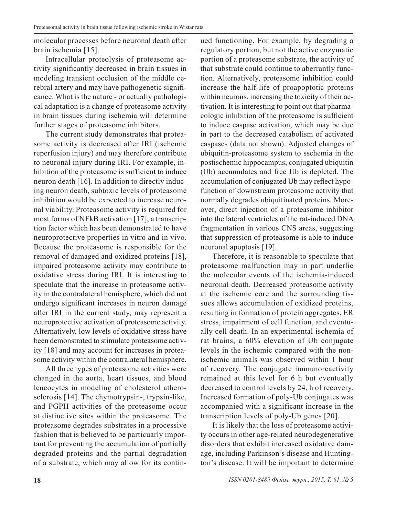molecular processes before neuronal death after brain ischemia [15].

Intracellular proteolysis of proteasome activity significantly decreased in brain tissues in modeling transient occlusion of the middle cerebral artery and may have pathogenetic significance. What is the nature - or actually pathological adaptation is a change of proteasome activity in brain tissues during ischemia will determine further stages of proteasome inhibitors.

The current study demonstrates that proteasome activity is decreased after IRI (ischemic reperfusion injury) and may therefore contribute to neuronal injury during IRI. For example, inhibition of the proteasome is sufficient to induce neuron death [16]. In addition to directly inducing neuron death, subtoxic levels of proteasome inhibition would be expected to increase neuronal viability. Proteasome activity is required for most forms of NFkB activation [17], a transcription factor which has been demonstrated to have neuroprotective properties in vitro and in vivo. Because the proteasome is responsible for the removal of damaged and oxidized proteins [18], impaired proteasome activity may contribute to oxidative stress during IRI. It is interesting to speculate that the increase in proteasome activity in the contralateral hemisphere, which did not undergo significant increases in neuron damage after IRI in the current study, may represent a neuroprotective activation of proteasome activity. Alternatively, low levels of oxidative stress have been demonstrated to stimulate proteasome activity [18] and may account for increases in proteasome activity within the contralateral hemisphere.

All three types of proteasome activities were changed in the aorta, heart tissues, and blood leucocytes in modeling of cholesterol atherosclerosis [14]. The chymotrypsin-, trypsin-like, and PGPH activities of the proteasome occur at distinctive sites within the proteasome. The proteasome degrades substrates in a processive fashion that is believed to be particuarly important for preventing the accumulation of partially degraded proteins and the partial degradation of a substrate, which may allow for its continued functioning. For example, by degrading a regulatory portion, but not the active enzymatic portion of a proteasome substrate, the activity of that substrate could continue to aberrantly function. Alternatively, proteasome inhibition could increase the half-life of proapoptotic proteins within neurons, increasing the toxicity of their activation. It is interesting to point out that pharmacologic inhibition of the proteasome is sufficient to induce caspase activation, which may be due in part to the decreased catabolism of activated caspases (data not shown). Adjusted changes of ubiquitin-proteasome system to sschemia in the postischemic hippocampus, conjugated ubiquitin (Ub) accumulates and free Ub is depleted. The accumulation of conjugated Ub may reflect hypofunction of downstream proteasome activity that normally degrades ubiquitinated proteins. Moreover, direct injection of a proteasome inhibitor into the lateral ventricles of the rat-induced DNA fragmentation in various CNS areas, suggesting that suppression of proteasome is able to induce neuronal apoptosis [19].

Therefore, it is reasonable to speculate that proteasome malfunction may in part underlie the molecular events of the ischemia-induced neuronal death. Decreased proteasome activity at the ischemic core and the surrounding tissues allows accumulation of oxidized proteins, resulting in formation of protein aggregates, ER stress, impairment of cell function, and eventually cell death. In an experimental ischemia of rat brains, a 60% elevation of Ub conjugate levels in the ischemic compared with the nonischemic animals was observed within 1 hour of recovery. The conjugate immunoreactivity remained at this level for 6 h but eventually decreased to control levels by 24, h of recovery. Increased formation of poly-Ub conjugates was accompanied with a significant increase in the transcription levels of poly-Ub genes [20].

It is likely that the loss of proteasome activity occurs in other age-related neurodegenerative disorders that exhibit increased oxidative damage, including Parkinson's disease and Huntington's disease. It will be important to determine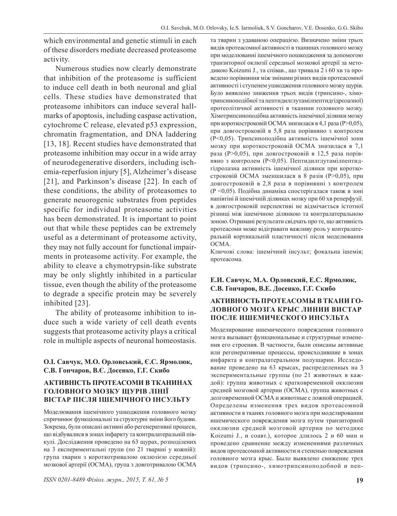which environmental and genetic stimuli in each of these disorders mediate decreased proteasome activity.

Numerous studies now clearly demonstrate that inhibition of the proteasome is sufficient to induce cell death in both neuronal and glial cells. These studies have demonstrated that proteasome inhibitors can induce several hallmarks of apoptosis, including caspase activation, cytochrome C release, elevated p53 expression, chromatin fragmentation, and DNA laddering [13, 18]. Recent studies have demonstrated that proteasome inhibition may occur in a wide array of neurodegenerative disorders, including ischemia-reperfusion injury [5], Alzheimer's disease [21], and Parkinson's disease [22]. In each of these conditions, the ability of proteasomes to generate neuorogenic substrates from peptides specific for individual proteasome activities has been demonstrated. It is important to point out that while these peptides can be extremely useful as a determinant of proteasome activity, they may not fully account for functional impairments in proteasome activity. For example, the ability to cleave a chymotrypsin-like substrate may be only slightly inhibited in a particular tissue, even though the ability of the proteasome to degrade a specific protein may be severely inhibited [23].

The ability of proteasome inhibition to induce such a wide variety of cell death events suggests that proteasome activity plays a critical role in multiple aspects of neuronal homeostasis.

#### **О.І. Савчук, М.О. Орловський, Є.С. Ярмолюк, С.В. Гончаров, В.Є. Досенко, Г.Г. Скибо**

#### **АКТИВНІСТЬ ПРОТЕАСОМИ В ТКАНИНАХ ГОЛОВНОГО МОЗКУ ЩУРІВ ЛІНІЇ ВІСТАР ПІСЛЯ ІШЕМІЧНОГО ІНСУЛЬТУ**

Моделювання ішемічного ушкодження головного мозку спричинює функціональні та структурні зміни його будови. Зокрема, були описані активні або регенеративні процеси, що відбувалися в зонах інфаркту та контралатеральній півкулі. Дослідження проведено на 63 щурах, розподілених на 3 експериментальні групи (по 21 тварині у кожній): група тварин з короткотривалою оклюзією середньої мозкової артерії (ОСМА), група з довготривалою ОСМА та тварин з удаваною операцією. Визначено зміни трьох видів протеасомної активності в тканинах головного мозку при моделюванні ішемічного пошкодження за допомогою транзиторної оклюзії середньої мозкової артерії за методикою Koizumi J., та співав., що тривала 2 і 60 хв та проведено порівняння між змінами різних видів протеасомної активності і ступенем ушкодження головного мозку щурів. Було виявлено зниження трьох видів (трипсино-, хімотрипсиноподібної та пептидилглутамілпептидгідролазної) протеолітичної активності в тканини головного мозку. Хімотрипсиноподібна активність ішемічної ділянки мозку при короткостроковій ОСМА знизилася в 4,1 раза (Р>0,05), при довгостроковій в 5,8 раза порівняно з контролем (Р<0,05). Трипсиноподібна активність ішемічної зони мозку при короткостроковій ОСМА знизилася в 7,1 раза (Р>0,05), при довгостроковій в 12,5 раза порівняно з контролем (Р<0,05). Пептидилглутамілпептидгідролазна активність ішемічної ділянки при короткостроковій ОСМА зменшилася в 8 разів (Р>0,05), при довгостроковій в 2,8 раза в порівнянні з контролем (Р <0,05). Подібна динаміка спостерігалася також в зоні напівтіні й ішемічній ділянках мозку при 60 хв реперфузії. в довгостроковій перспективі не відмічається істотної різниці між ішемічною ділянкою та контралатеральною зоною. Отримані результати свідчать про те, що активність протеасоми може відігравати важливу роль у контралатеральній кортикальній пластичності після моделювання **ОСМА**.

Ключові слова: ішемічний інсульт; фокальна ішемія; протеасома.

#### **Е.И. Савчук, М.А. Орловский, Е.С. Ярмолюк, С.В. Гончаров, В.Е. Досенко, Г.Г. Скибо**

### **АКТИВНОСТЬ ПРОТЕАСОМЫ В ТКАНИ ГО-ЛОВНОГО МОЗГА КРЫС ЛИНИИ ВИСТАР ПОСЛЕ ИШЕМИЧЕСКОГО ИНСУЛЬТА**

Моделирование ишемического повреждения головного мозга вызывает функциональные и структурные изменения его строения. В частности, были описаны активные или регенеративные процессы, происходившие в зонах инфаркта и контралатеральном полушарии. Исследование проведено на 63 крысах, распределенных на 3 экспериментальные группы (по 21 животных в каждой): группа животных с кратковременной окклюзии средней мозговой артерии (ОСМА), группа животных с долговременной ОСМА и животные с ложной операцией. Определены изменения трех видов протеасомной активности в тканях головного мозга при моделировании ишемического повреждения мозга путем транзиторной окклюзии средней мозговой артерии по методике Koizumi J., и соавт.), которое длилось 2 и 60 мин и проведено сравнение между изменениями различных видов протеасомной активности и степенью повреждения головного мозга крыс. Было выявлено снижение трех видов (трипсино-, химотрипсиноподобной и пеп